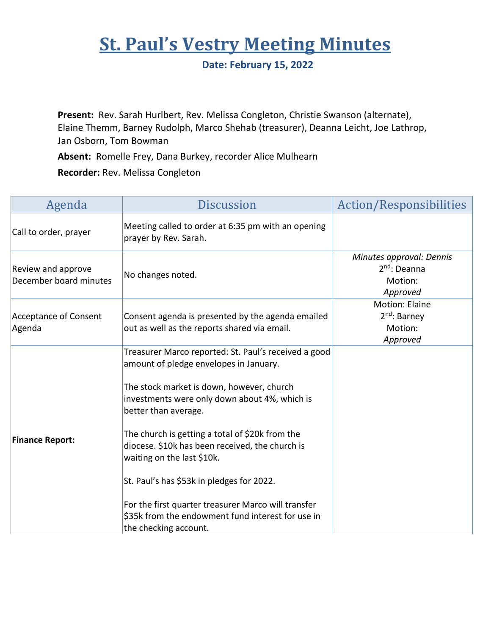## **St. Paul's Vestry Meeting Minutes**

**Date: February 15, 2022**

**Present:** Rev. Sarah Hurlbert, Rev. Melissa Congleton, Christie Swanson (alternate), Elaine Themm, Barney Rudolph, Marco Shehab (treasurer), Deanna Leicht, Joe Lathrop, Jan Osborn, Tom Bowman

**Absent:** Romelle Frey, Dana Burkey, recorder Alice Mulhearn

**Recorder:** Rev. Melissa Congleton

| Agenda                                       | <b>Discussion</b>                                                                                                                                                                                                                                                                                                                                        | <b>Action/Responsibilities</b>                                    |
|----------------------------------------------|----------------------------------------------------------------------------------------------------------------------------------------------------------------------------------------------------------------------------------------------------------------------------------------------------------------------------------------------------------|-------------------------------------------------------------------|
| Call to order, prayer                        | Meeting called to order at 6:35 pm with an opening<br>prayer by Rev. Sarah.                                                                                                                                                                                                                                                                              |                                                                   |
| Review and approve<br>December board minutes | No changes noted.                                                                                                                                                                                                                                                                                                                                        | Minutes approval: Dennis<br>$2nd$ : Deanna<br>Motion:<br>Approved |
| Acceptance of Consent<br>Agenda              | Consent agenda is presented by the agenda emailed<br>out as well as the reports shared via email.                                                                                                                                                                                                                                                        | Motion: Elaine<br>2 <sup>nd</sup> : Barney<br>Motion:<br>Approved |
| <b>Finance Report:</b>                       | Treasurer Marco reported: St. Paul's received a good<br>amount of pledge envelopes in January.<br>The stock market is down, however, church<br>investments were only down about 4%, which is<br>better than average.<br>The church is getting a total of \$20k from the<br>diocese. \$10k has been received, the church is<br>waiting on the last \$10k. |                                                                   |
|                                              | St. Paul's has \$53k in pledges for 2022.<br>For the first quarter treasurer Marco will transfer<br>\$35k from the endowment fund interest for use in<br>the checking account.                                                                                                                                                                           |                                                                   |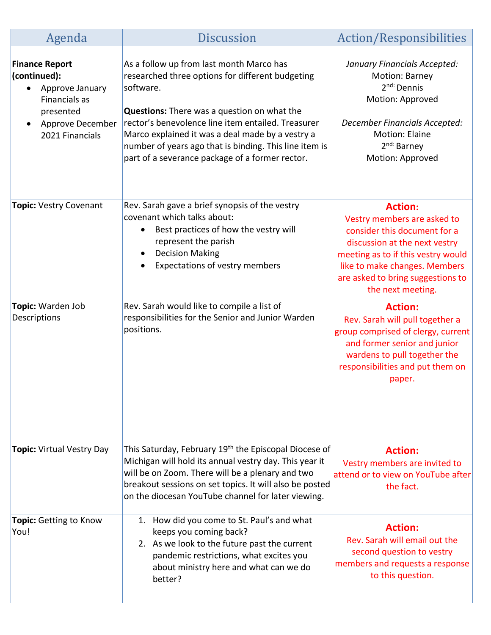| Agenda                                                                                                                                     | <b>Discussion</b>                                                                                                                                                                                                                                                                                                                                                                      | Action/Responsibilities                                                                                                                                                                                                                         |
|--------------------------------------------------------------------------------------------------------------------------------------------|----------------------------------------------------------------------------------------------------------------------------------------------------------------------------------------------------------------------------------------------------------------------------------------------------------------------------------------------------------------------------------------|-------------------------------------------------------------------------------------------------------------------------------------------------------------------------------------------------------------------------------------------------|
| <b>Finance Report</b><br>(continued):<br>Approve January<br>$\bullet$<br>Financials as<br>presented<br>Approve December<br>2021 Financials | As a follow up from last month Marco has<br>researched three options for different budgeting<br>software.<br><b>Questions:</b> There was a question on what the<br>rector's benevolence line item entailed. Treasurer<br>Marco explained it was a deal made by a vestry a<br>number of years ago that is binding. This line item is<br>part of a severance package of a former rector. | January Financials Accepted:<br>Motion: Barney<br>2 <sup>nd:</sup> Dennis<br>Motion: Approved<br>December Financials Accepted:<br><b>Motion: Elaine</b><br>2 <sup>nd:</sup> Barney<br>Motion: Approved                                          |
| Topic: Vestry Covenant                                                                                                                     | Rev. Sarah gave a brief synopsis of the vestry<br>covenant which talks about:<br>Best practices of how the vestry will<br>$\bullet$<br>represent the parish<br><b>Decision Making</b><br>Expectations of vestry members                                                                                                                                                                | <b>Action:</b><br>Vestry members are asked to<br>consider this document for a<br>discussion at the next vestry<br>meeting as to if this vestry would<br>like to make changes. Members<br>are asked to bring suggestions to<br>the next meeting. |
| Topic: Warden Job<br>Descriptions                                                                                                          | Rev. Sarah would like to compile a list of<br>responsibilities for the Senior and Junior Warden<br>positions.                                                                                                                                                                                                                                                                          | <b>Action:</b><br>Rev. Sarah will pull together a<br>group comprised of clergy, current<br>and former senior and junior<br>wardens to pull together the<br>responsibilities and put them on<br>paper.                                           |
| Topic: Virtual Vestry Day                                                                                                                  | This Saturday, February 19 <sup>th</sup> the Episcopal Diocese of<br>Michigan will hold its annual vestry day. This year it<br>will be on Zoom. There will be a plenary and two<br>breakout sessions on set topics. It will also be posted<br>on the diocesan YouTube channel for later viewing.                                                                                       | <b>Action:</b><br>Vestry members are invited to<br>attend or to view on YouTube after<br>the fact.                                                                                                                                              |
| Topic: Getting to Know<br>You!                                                                                                             | 1. How did you come to St. Paul's and what<br>keeps you coming back?<br>2. As we look to the future past the current<br>pandemic restrictions, what excites you<br>about ministry here and what can we do<br>better?                                                                                                                                                                   | <b>Action:</b><br>Rev. Sarah will email out the<br>second question to vestry<br>members and requests a response<br>to this question.                                                                                                            |